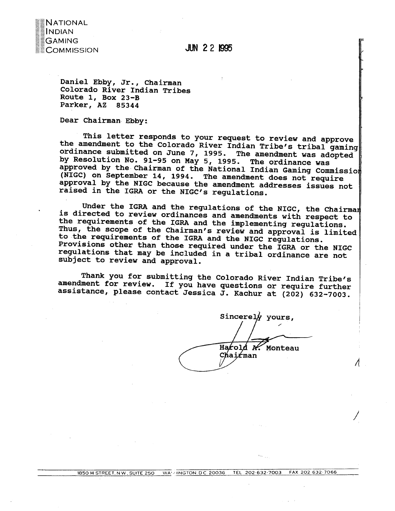

**JUN 22 1995** 

**Daniel Ebby, Jr., Chairman Colorado River Indian Tribes Route 1, Box 23-B Parker, AZ 85344** 

**Dear Chairman Ebby:** 

**This letter responds to your request to review and approve the amendment to the Colorado River Indian Tribe's tribal gaming ordinance submitted on June 7, 1995. The amendment was adopted by Resolution No. 91-95 on May 5, 1995. The ordinance was approved by the Chairman of the National Indian Gaming Commissio (NIGC) on September 14, 1994. The amendment does not require approval by the RIGC because the amendment addresses issues not**  raised in the IGRA or the NIGC's regulations.

Under the IGRA and the regulations of the NIGC, the Chairman **is directed to review ordinances and amendments with respect to the requirements of the IGRA and the implementing regulations.**  Thus, the scope of the Chairman's review and approval is limited **to the requirements of the IGRA and the WIGC regulations. Provisions other than those required under the IGRA or the NIGC regulations that may be included in a tribal ordinance are not subject to review and approval.** 

**Thank you for submitting the Colorado River Indian Tribe's amendment for review. If you have questions or require further assistance, please contact Jessica J. Kachur at (202) 632-7003.** 

Sincerely yours. Harold A. Monteau Chairman

K

 $\Lambda$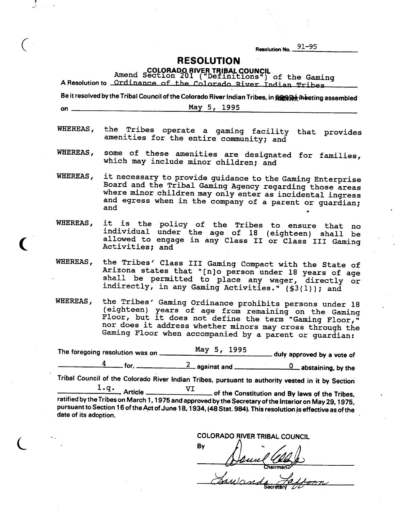**Resolution No. 91-95** 

## **RESOLUTION**

**Amend & COLORADO RIVER TRIBAL COUNCIL** 

 $\mathbf{A}$ 

 $\big($ 

|                       | A Resolution to Ordinance of the Colorado River Indian Tribes                                                                                                                                                                                                                                   | Amend Section 201 ("Definitions") of the Gaming |  |                                                |  |
|-----------------------|-------------------------------------------------------------------------------------------------------------------------------------------------------------------------------------------------------------------------------------------------------------------------------------------------|-------------------------------------------------|--|------------------------------------------------|--|
|                       | Be it resolved by the Tribal Council of the Colorado River Indian Tribes, in RERRIA meeting assembled                                                                                                                                                                                           |                                                 |  |                                                |  |
| on $\equiv$           |                                                                                                                                                                                                                                                                                                 | May 5, 1995                                     |  |                                                |  |
|                       | WHEREAS, the Tribes operate a gaming facility that provides<br>amenities for the entire community; and                                                                                                                                                                                          |                                                 |  |                                                |  |
|                       | WHEREAS, some of these amenities are designated for families,<br>which may include minor children; and                                                                                                                                                                                          |                                                 |  |                                                |  |
| WHEREAS,              | it necessary to provide guidance to the Gaming Enterprise<br>Board and the Tribal Gaming Agency regarding those areas<br>where minor children may only enter as incidental ingress<br>and egress when in the company of a parent or guardian;<br>and                                            |                                                 |  |                                                |  |
| WHEREAS,              | it is the policy of the Tribes to ensure that no<br>individual under the age of 18 (eighteen) shall be<br>allowed to engage in any Class II or Class III Gaming<br>Activities; and                                                                                                              |                                                 |  |                                                |  |
| <b>WHEREAS,</b>       | the Tribes' Class III Gaming Compact with the State of<br>Arizona states that "[n]o person under 18 years of age<br>shall be permitted to place any wager, directly or<br>indirectly, in any Gaming Activities." (\$3(1)); and                                                                  |                                                 |  |                                                |  |
| WHEREAS,              | the Tribes' Gaming Ordinance prohibits persons under 18<br>(eighteen) years of age from remaining on the Gaming<br>Floor, but it does not define the term "Gaming Floor,"<br>nor does it address whether minors may cross through the<br>Gaming Floor when accompanied by a parent or quardian: |                                                 |  |                                                |  |
|                       | The foregoing resolution was on _                                                                                                                                                                                                                                                               |                                                 |  | May $5, 1995$ duly approved by a vote of       |  |
|                       |                                                                                                                                                                                                                                                                                                 |                                                 |  |                                                |  |
|                       | Tribal Council of the Colorado River Indian Tribes, pursuant to authority vested in it by Section                                                                                                                                                                                               |                                                 |  |                                                |  |
|                       | l.q.<br>_ Article                                                                                                                                                                                                                                                                               | VI                                              |  | of the Constitution and By laws of the Tribes, |  |
| date of its adoption. | ratified by the Tribes on March 1, 1975 and approved by the Secretary of the Interior on May 29, 1975,<br>pursuant to Section 16 of the Act of June 18, 1934, (48 Stat. 984). This resolution is effective as of the                                                                            |                                                 |  |                                                |  |

COLORADO RIVER TRIBAL COUNCIL

By .<br>hairman. Sawand m.

ecrata